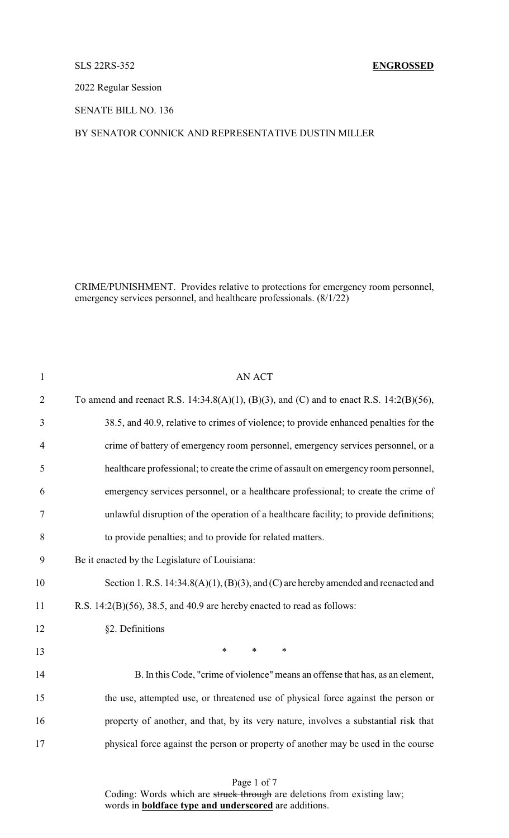## SLS 22RS-352 **ENGROSSED**

2022 Regular Session

SENATE BILL NO. 136

## BY SENATOR CONNICK AND REPRESENTATIVE DUSTIN MILLER

CRIME/PUNISHMENT. Provides relative to protections for emergency room personnel, emergency services personnel, and healthcare professionals. (8/1/22)

| $\mathbf{1}$   | <b>AN ACT</b>                                                                               |
|----------------|---------------------------------------------------------------------------------------------|
| $\overline{2}$ | To amend and reenact R.S. 14:34.8(A)(1), (B)(3), and (C) and to enact R.S. 14:2(B)(56),     |
| 3              | 38.5, and 40.9, relative to crimes of violence; to provide enhanced penalties for the       |
| $\overline{4}$ | crime of battery of emergency room personnel, emergency services personnel, or a            |
| 5              | healthcare professional; to create the crime of assault on emergency room personnel,        |
| 6              | emergency services personnel, or a healthcare professional; to create the crime of          |
| 7              | unlawful disruption of the operation of a healthcare facility; to provide definitions;      |
| 8              | to provide penalties; and to provide for related matters.                                   |
| 9              | Be it enacted by the Legislature of Louisiana:                                              |
| 10             | Section 1. R.S. $14:34.8(A)(1)$ , $(B)(3)$ , and $(C)$ are hereby amended and reenacted and |
| 11             | R.S. $14:2(B)(56)$ , $38.5$ , and $40.9$ are hereby enacted to read as follows:             |
| 12             | §2. Definitions                                                                             |
| 13             | $\ast$<br>$\ast$<br>$\ast$                                                                  |
| 14             | B. In this Code, "crime of violence" means an offense that has, as an element,              |
| 15             | the use, attempted use, or threatened use of physical force against the person or           |
| 16             | property of another, and that, by its very nature, involves a substantial risk that         |
| 17             | physical force against the person or property of another may be used in the course          |
|                |                                                                                             |

Page 1 of 7 Coding: Words which are struck through are deletions from existing law; words in **boldface type and underscored** are additions.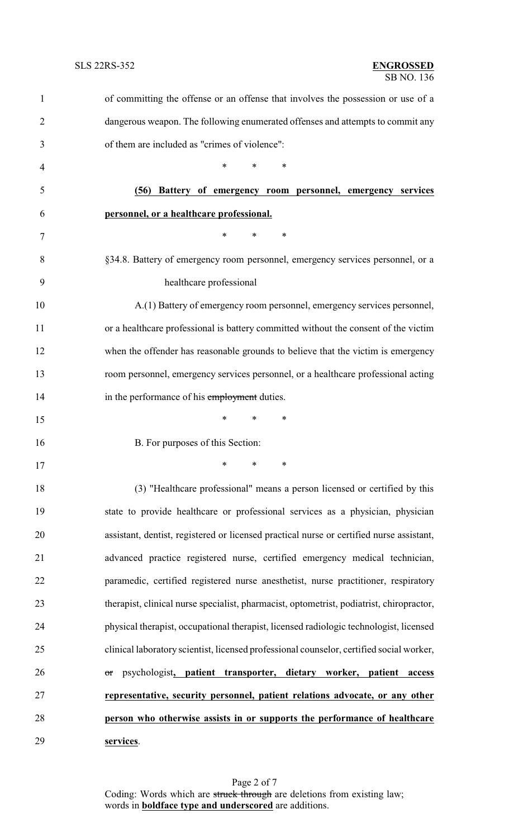| $\mathbf{1}$   | of committing the offense or an offense that involves the possession or use of a         |
|----------------|------------------------------------------------------------------------------------------|
| $\overline{c}$ | dangerous weapon. The following enumerated offenses and attempts to commit any           |
| 3              | of them are included as "crimes of violence":                                            |
| 4              | *<br>*<br>∗                                                                              |
| 5              | (56) Battery of emergency room personnel, emergency services                             |
| 6              | personnel, or a healthcare professional.                                                 |
| 7              | *<br>$\ast$<br>∗                                                                         |
| 8              | §34.8. Battery of emergency room personnel, emergency services personnel, or a           |
| 9              | healthcare professional                                                                  |
| 10             | A.(1) Battery of emergency room personnel, emergency services personnel,                 |
| 11             | or a healthcare professional is battery committed without the consent of the victim      |
| 12             | when the offender has reasonable grounds to believe that the victim is emergency         |
| 13             | room personnel, emergency services personnel, or a healthcare professional acting        |
| 14             | in the performance of his employment duties.                                             |
| 15             | $\ast$<br>*<br>∗                                                                         |
| 16             | B. For purposes of this Section:                                                         |
| 17             | ∗<br>∗<br>∗                                                                              |
| 18             | (3) "Healthcare professional" means a person licensed or certified by this               |
| 19             | state to provide healthcare or professional services as a physician, physician           |
| 20             | assistant, dentist, registered or licensed practical nurse or certified nurse assistant, |
| 21             | advanced practice registered nurse, certified emergency medical technician,              |
| 22             | paramedic, certified registered nurse anesthetist, nurse practitioner, respiratory       |
| 23             | therapist, clinical nurse specialist, pharmacist, optometrist, podiatrist, chiropractor, |
| 24             | physical therapist, occupational therapist, licensed radiologic technologist, licensed   |
| 25             | clinical laboratory scientist, licensed professional counselor, certified social worker, |
| 26             | psychologist, patient transporter, dietary worker, patient<br>access<br>$\sigma$ r       |
| 27             | representative, security personnel, patient relations advocate, or any other             |
| 28             | person who otherwise assists in or supports the performance of healthcare                |
| 29             | services.                                                                                |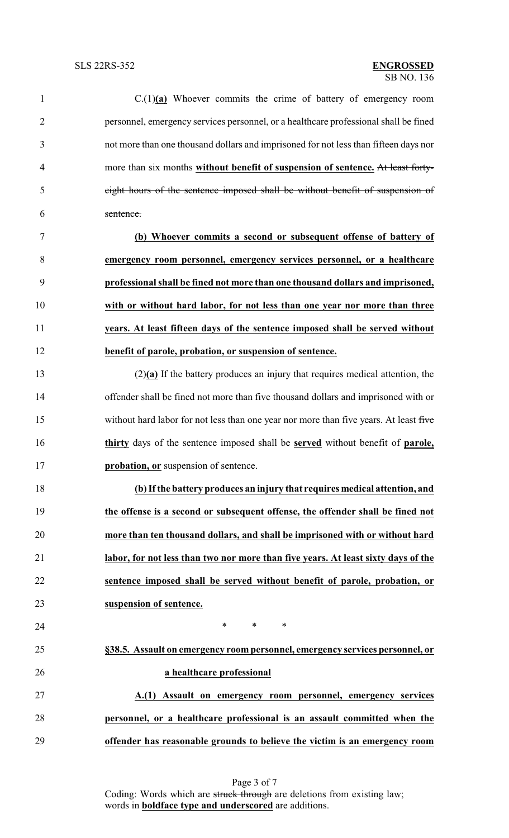| $\mathbf{1}$   | $C(1)(a)$ Whoever commits the crime of battery of emergency room                              |
|----------------|-----------------------------------------------------------------------------------------------|
| $\overline{2}$ | personnel, emergency services personnel, or a healthcare professional shall be fined          |
| 3              | not more than one thousand dollars and imprisoned for not less than fifteen days nor          |
| $\overline{4}$ | more than six months without benefit of suspension of sentence. At least forty-               |
| 5              | eight hours of the sentence imposed shall be without benefit of suspension of                 |
| 6              | sentence.                                                                                     |
| 7              | (b) Whoever commits a second or subsequent offense of battery of                              |
| 8              | emergency room personnel, emergency services personnel, or a healthcare                       |
| 9              | professional shall be fined not more than one thousand dollars and imprisoned,                |
| 10             | with or without hard labor, for not less than one year nor more than three                    |
| 11             | years. At least fifteen days of the sentence imposed shall be served without                  |
| 12             | benefit of parole, probation, or suspension of sentence.                                      |
| 13             | $(2)(a)$ If the battery produces an injury that requires medical attention, the               |
| 14             | offender shall be fined not more than five thousand dollars and imprisoned with or            |
| 15             | without hard labor for not less than one year nor more than five years. At least five         |
| 16             | thirty days of the sentence imposed shall be <b>served</b> without benefit of <b>parole</b> , |
| 17             | probation, or suspension of sentence.                                                         |
| 18             | (b) If the battery produces an injury that requires medical attention, and                    |
| 19             | the offense is a second or subsequent offense, the offender shall be fined not                |
| 20             | more than ten thousand dollars, and shall be imprisoned with or without hard                  |
| 21             | labor, for not less than two nor more than five years. At least sixty days of the             |
| 22             | sentence imposed shall be served without benefit of parole, probation, or                     |
| 23             | suspension of sentence.                                                                       |
| 24             | $\ast$<br>$\ast$<br>∗                                                                         |
| 25             | §38.5. Assault on emergency room personnel, emergency services personnel, or                  |
| 26             | a healthcare professional                                                                     |
| 27             | A.(1) Assault on emergency room personnel, emergency services                                 |
| 28             | personnel, or a healthcare professional is an assault committed when the                      |
| 29             | offender has reasonable grounds to believe the victim is an emergency room                    |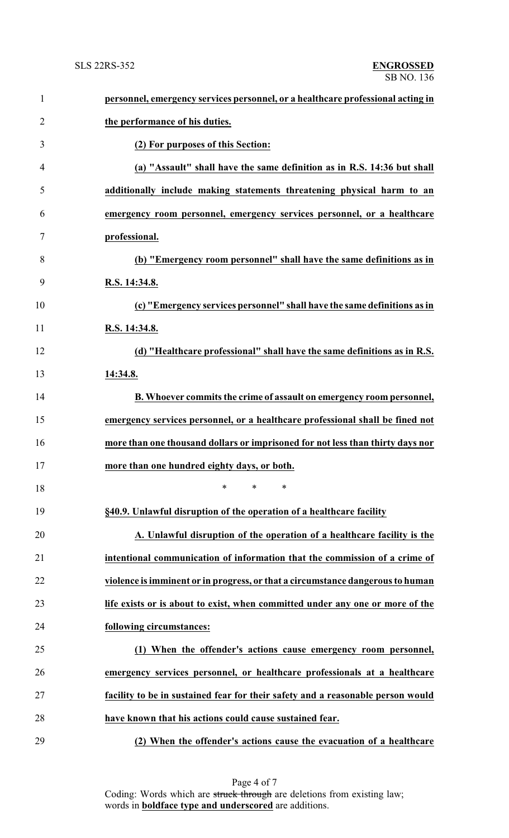| $\mathbf{1}$   | personnel, emergency services personnel, or a healthcare professional acting in |
|----------------|---------------------------------------------------------------------------------|
| $\overline{2}$ | the performance of his duties.                                                  |
| 3              | (2) For purposes of this Section:                                               |
| 4              | (a) "Assault" shall have the same definition as in R.S. 14:36 but shall         |
| 5              | additionally include making statements threatening physical harm to an          |
| 6              | emergency room personnel, emergency services personnel, or a healthcare         |
| 7              | professional.                                                                   |
| 8              | (b) "Emergency room personnel" shall have the same definitions as in            |
| 9              | R.S. 14:34.8.                                                                   |
| 10             | (c) "Emergency services personnel" shall have the same definitions as in        |
| 11             | R.S. 14:34.8.                                                                   |
| 12             | (d) "Healthcare professional" shall have the same definitions as in R.S.        |
| 13             | 14:34.8.                                                                        |
| 14             | B. Whoever commits the crime of assault on emergency room personnel,            |
| 15             | emergency services personnel, or a healthcare professional shall be fined not   |
| 16             | more than one thousand dollars or imprisoned for not less than thirty days nor  |
| 17             | more than one hundred eighty days, or both.                                     |
| 18             | $\ast$<br>$\ast$<br>∗                                                           |
| 19             | §40.9. Unlawful disruption of the operation of a healthcare facility            |
| 20             | A. Unlawful disruption of the operation of a healthcare facility is the         |
| 21             | intentional communication of information that the commission of a crime of      |
| 22             | violence is imminent or in progress, or that a circumstance dangerous to human  |
| 23             | life exists or is about to exist, when committed under any one or more of the   |
| 24             | following circumstances:                                                        |
| 25             | (1) When the offender's actions cause emergency room personnel,                 |
| 26             | emergency services personnel, or healthcare professionals at a healthcare       |
| 27             | facility to be in sustained fear for their safety and a reasonable person would |
| 28             | have known that his actions could cause sustained fear.                         |
| 29             | (2) When the offender's actions cause the evacuation of a healthcare            |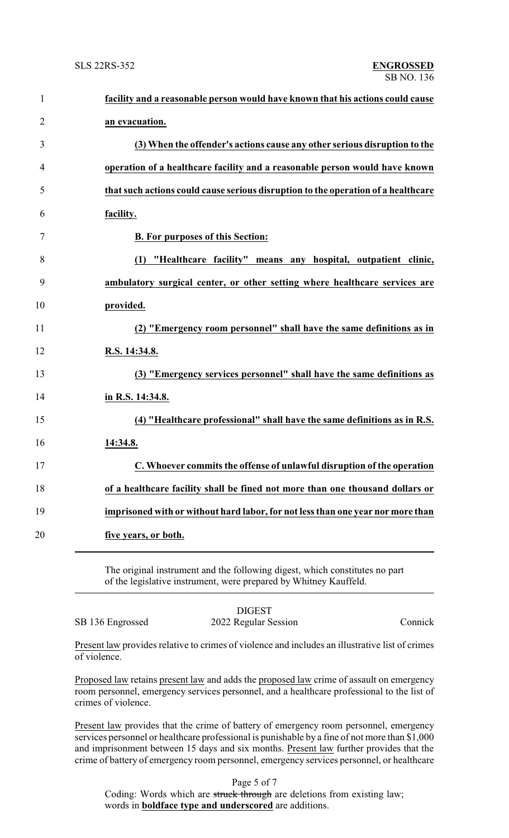| $\mathbf{1}$   | facility and a reasonable person would have known that his actions could cause    |
|----------------|-----------------------------------------------------------------------------------|
| $\overline{2}$ | an evacuation.                                                                    |
| 3              | (3) When the offender's actions cause any other serious disruption to the         |
| $\overline{4}$ | operation of a healthcare facility and a reasonable person would have known       |
| 5              | that such actions could cause serious disruption to the operation of a healthcare |
| 6              | facility.                                                                         |
| $\tau$         | <b>B. For purposes of this Section:</b>                                           |
| 8              | (1) "Healthcare facility" means any hospital, outpatient clinic,                  |
| 9              | ambulatory surgical center, or other setting where healthcare services are        |
| 10             | provided.                                                                         |
| 11             | (2) "Emergency room personnel" shall have the same definitions as in              |
| 12             | R.S. 14:34.8.                                                                     |
| 13             | (3) "Emergency services personnel" shall have the same definitions as             |
| 14             | in R.S. 14:34.8.                                                                  |
| 15             | (4) "Healthcare professional" shall have the same definitions as in R.S.          |
| 16             | 14:34.8.                                                                          |
| 17             | C. Whoever commits the offense of unlawful disruption of the operation            |
| 18             | of a healthcare facility shall be fined not more than one thousand dollars or     |
| 19             | imprisoned with or without hard labor, for not less than one year nor more than   |
| 20             | five years, or both.                                                              |
|                |                                                                                   |

The original instrument and the following digest, which constitutes no part of the legislative instrument, were prepared by Whitney Kauffeld.

SB 136 Engrossed 2022 Regular Session Connick

DIGEST

Present law provides relative to crimes of violence and includes an illustrative list of crimes of violence.

Proposed law retains present law and adds the proposed law crime of assault on emergency room personnel, emergency services personnel, and a healthcare professional to the list of crimes of violence.

Present law provides that the crime of battery of emergency room personnel, emergency services personnel or healthcare professional is punishable by a fine of not more than \$1,000 and imprisonment between 15 days and six months. Present law further provides that the crime of battery of emergency room personnel, emergency services personnel, or healthcare

Page 5 of 7

Coding: Words which are struck through are deletions from existing law; words in **boldface type and underscored** are additions.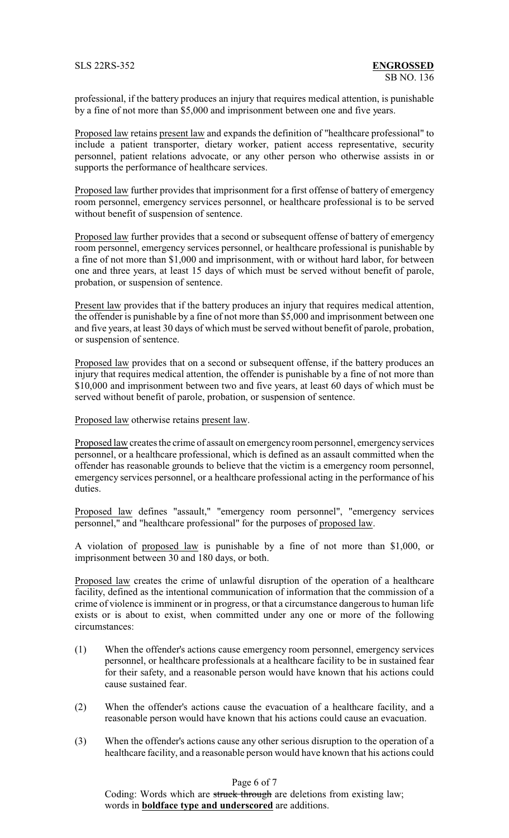professional, if the battery produces an injury that requires medical attention, is punishable by a fine of not more than \$5,000 and imprisonment between one and five years.

Proposed law retains present law and expands the definition of "healthcare professional" to include a patient transporter, dietary worker, patient access representative, security personnel, patient relations advocate, or any other person who otherwise assists in or supports the performance of healthcare services.

Proposed law further provides that imprisonment for a first offense of battery of emergency room personnel, emergency services personnel, or healthcare professional is to be served without benefit of suspension of sentence.

Proposed law further provides that a second or subsequent offense of battery of emergency room personnel, emergency services personnel, or healthcare professional is punishable by a fine of not more than \$1,000 and imprisonment, with or without hard labor, for between one and three years, at least 15 days of which must be served without benefit of parole, probation, or suspension of sentence.

Present law provides that if the battery produces an injury that requires medical attention, the offender is punishable by a fine of not more than \$5,000 and imprisonment between one and five years, at least 30 days of which must be served without benefit of parole, probation, or suspension of sentence.

Proposed law provides that on a second or subsequent offense, if the battery produces an injury that requires medical attention, the offender is punishable by a fine of not more than \$10,000 and imprisonment between two and five years, at least 60 days of which must be served without benefit of parole, probation, or suspension of sentence.

Proposed law otherwise retains present law.

Proposed law creates the crime of assault on emergencyroom personnel, emergencyservices personnel, or a healthcare professional, which is defined as an assault committed when the offender has reasonable grounds to believe that the victim is a emergency room personnel, emergency services personnel, or a healthcare professional acting in the performance of his duties.

Proposed law defines "assault," "emergency room personnel", "emergency services personnel," and "healthcare professional" for the purposes of proposed law.

A violation of proposed law is punishable by a fine of not more than \$1,000, or imprisonment between 30 and 180 days, or both.

Proposed law creates the crime of unlawful disruption of the operation of a healthcare facility, defined as the intentional communication of information that the commission of a crime of violence is imminent or in progress, or that a circumstance dangerous to human life exists or is about to exist, when committed under any one or more of the following circumstances:

- (1) When the offender's actions cause emergency room personnel, emergency services personnel, or healthcare professionals at a healthcare facility to be in sustained fear for their safety, and a reasonable person would have known that his actions could cause sustained fear.
- (2) When the offender's actions cause the evacuation of a healthcare facility, and a reasonable person would have known that his actions could cause an evacuation.
- (3) When the offender's actions cause any other serious disruption to the operation of a healthcare facility, and a reasonable person would have known that his actions could

Page 6 of 7

Coding: Words which are struck through are deletions from existing law; words in **boldface type and underscored** are additions.